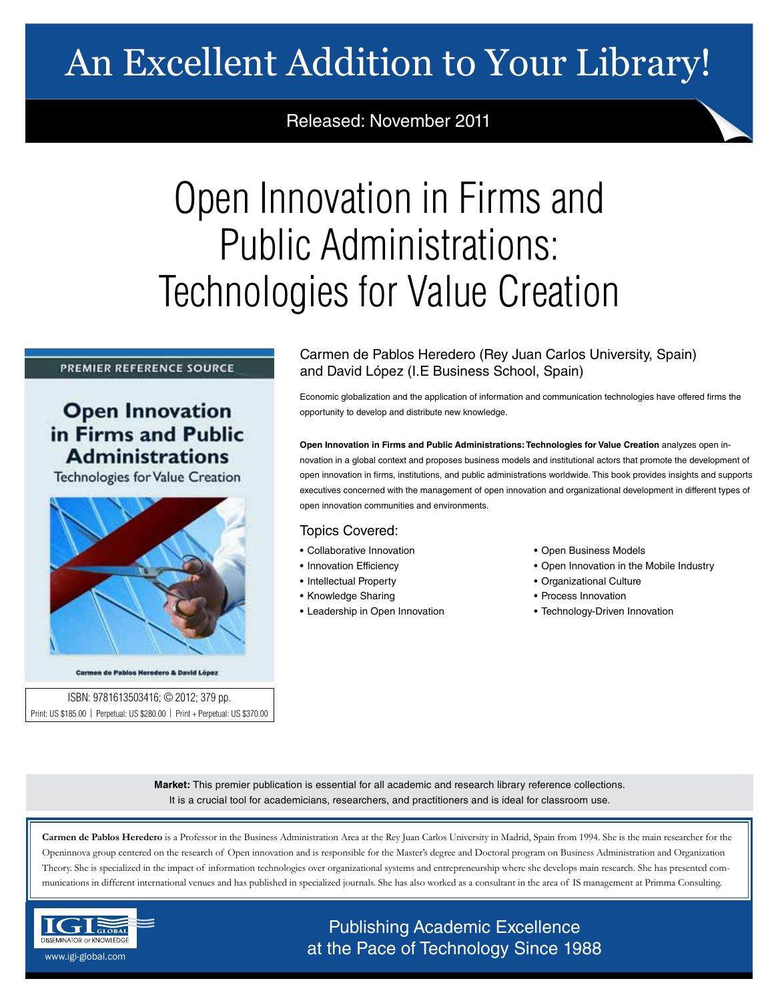# An Excellent Addition to Your Library!

## Released: November 2011

# Open Innovation in Firms and Public Administrations: Technologies for Value Creation

### PREMIER REFERENCE SOURCE

## **Open Innovation** in Firms and Public **Administrations**

**Technologies for Value Creation** 



Carmen de Pablos Heredero & David López

ISBN: 9781613503416; © 2012; 379 pp. Print: US \$185.00 | Perpetual: US \$280.00 | Print + Perpetual: US \$370.00 Carmen de Pablos Heredero (Rey Juan Carlos University, Spain) and David López (I.E Business School, Spain)

Economic globalization and the application of information and communication technologies have offered firms the opportunity to develop and distribute new knowledge.

**Open Innovation in Firms and Public Administrations: Technologies for Value Creation** analyzes open innovation in a global context and proposes business models and institutional actors that promote the development of open innovation in firms, institutions, and public administrations worldwide. This book provides insights and supports executives concerned with the management of open innovation and organizational development in different types of open innovation communities and environments.

### Topics Covered:

- Collaborative Innovation
- Innovation Efficiency
- Intellectual Property
- Knowledge Sharing
- Leadership in Open Innovation
- Open Business Models
- Open Innovation in the Mobile Industry
- Organizational Culture
- Process Innovation
- Technology-Driven Innovation

**Market:** This premier publication is essential for all academic and research library reference collections. It is a crucial tool for academicians, researchers, and practitioners and is ideal for classroom use.

Carmen de Pablos Heredero is a Professor in the Business Administration Area at the Rey Juan Carlos University in Madrid, Spain from 1994. She is the main researcher for the Openinnova group centered on the research of Open innovation and is responsible for the Master's degree and Doctoral program on Business Administration and Organization Theory. She is specialized in the impact of information technologies over organizational systems and entrepreneurship where she develops main research. She has presented communications in different international venues and has published in specialized journals. She has also worked as a consultant in the area of IS management at Primma Consulting.



## Publishing Academic Excellence **ALSEMINATOR OF KNOWLEDGE CONCEDUTE CONCEDUTE CONCEDUTE CONCEDUTE CONCEDUTE CONCEDUTE CONCEDUTE CONCEDUTE CONCE**